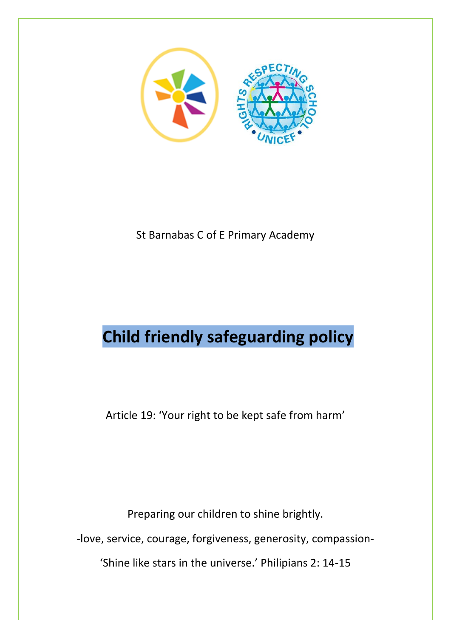

St Barnabas C of E Primary Academy

## **Child friendly safeguarding policy**

Article 19: 'Your right to be kept safe from harm'

Preparing our children to shine brightly.

-love, service, courage, forgiveness, generosity, compassion-

'Shine like stars in the universe.' Philipians 2: 14-15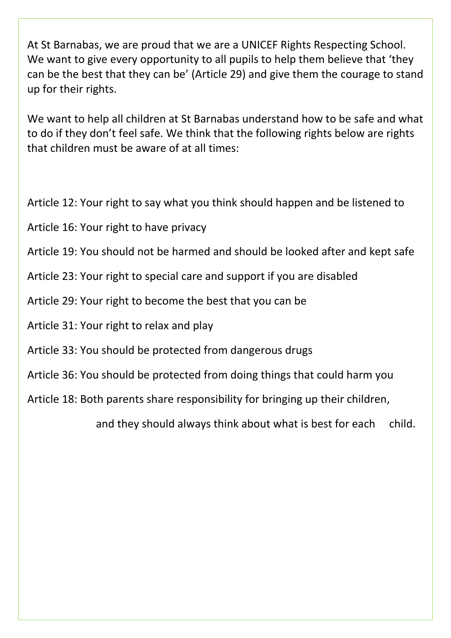At St Barnabas, we are proud that we are a UNICEF Rights Respecting School. We want to give every opportunity to all pupils to help them believe that 'they can be the best that they can be' (Article 29) and give them the courage to stand up for their rights.

We want to help all children at St Barnabas understand how to be safe and what to do if they don't feel safe. We think that the following rights below are rights that children must be aware of at all times:

Article 12: Your right to say what you think should happen and be listened to

- Article 16: Your right to have privacy
- Article 19: You should not be harmed and should be looked after and kept safe
- Article 23: Your right to special care and support if you are disabled
- Article 29: Your right to become the best that you can be
- Article 31: Your right to relax and play
- Article 33: You should be protected from dangerous drugs
- Article 36: You should be protected from doing things that could harm you

Article 18: Both parents share responsibility for bringing up their children,

and they should always think about what is best for each child.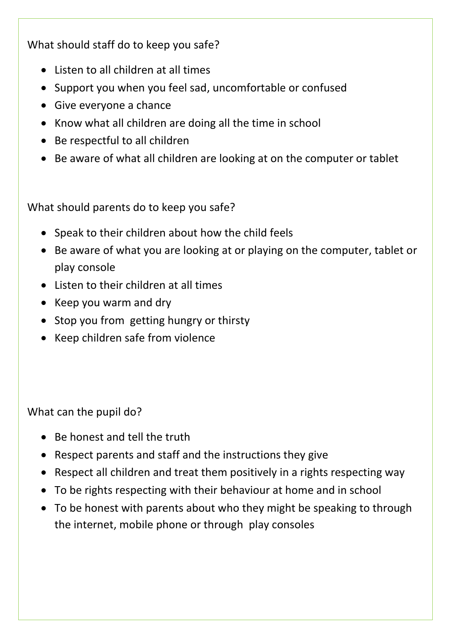What should staff do to keep you safe?

- Listen to all children at all times
- Support you when you feel sad, uncomfortable or confused
- Give everyone a chance
- Know what all children are doing all the time in school
- Be respectful to all children
- Be aware of what all children are looking at on the computer or tablet

What should parents do to keep you safe?

- Speak to their children about how the child feels
- Be aware of what you are looking at or playing on the computer, tablet or play console
- Listen to their children at all times
- Keep you warm and dry
- Stop you from getting hungry or thirsty
- Keep children safe from violence

What can the pupil do?

- Be honest and tell the truth
- Respect parents and staff and the instructions they give
- Respect all children and treat them positively in a rights respecting way
- To be rights respecting with their behaviour at home and in school
- To be honest with parents about who they might be speaking to through the internet, mobile phone or through play consoles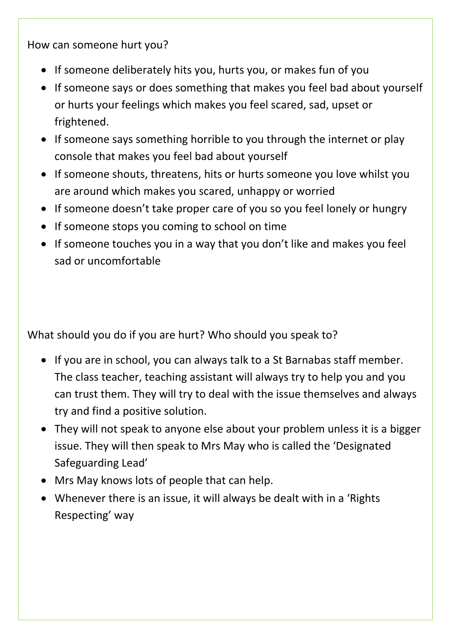How can someone hurt you?

- If someone deliberately hits you, hurts you, or makes fun of you
- If someone says or does something that makes you feel bad about yourself or hurts your feelings which makes you feel scared, sad, upset or frightened.
- If someone says something horrible to you through the internet or play console that makes you feel bad about yourself
- If someone shouts, threatens, hits or hurts someone you love whilst you are around which makes you scared, unhappy or worried
- If someone doesn't take proper care of you so you feel lonely or hungry
- If someone stops you coming to school on time
- If someone touches you in a way that you don't like and makes you feel sad or uncomfortable

What should you do if you are hurt? Who should you speak to?

- If you are in school, you can always talk to a St Barnabas staff member. The class teacher, teaching assistant will always try to help you and you can trust them. They will try to deal with the issue themselves and always try and find a positive solution.
- They will not speak to anyone else about your problem unless it is a bigger issue. They will then speak to Mrs May who is called the 'Designated Safeguarding Lead'
- Mrs May knows lots of people that can help.
- Whenever there is an issue, it will always be dealt with in a 'Rights Respecting' way